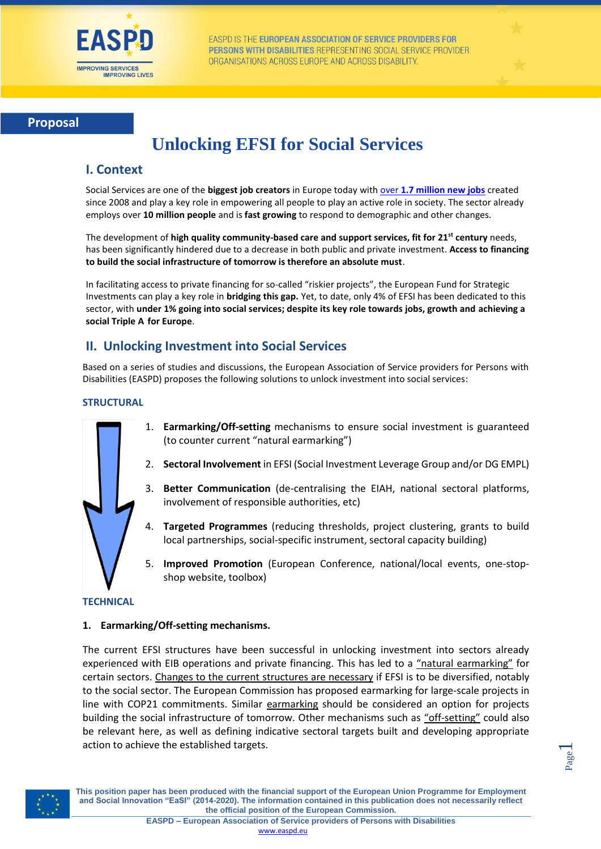

EASPD IS THE EUROPEAN ASSOCIATION OF SERVICE PROVIDERS FOR PERSONS WITH DISABILITIES REPRESENTING SOCIAL SERVICE PROVIDER ORGANISATIONS ACROSS EUROPE AND ACROSS DISABILITY.



# **Unlocking EFSI for Social Services**

## **I. Context**

Social Services are one of the **biggest job creators** in Europe today with over **[1.7 million new jobs](http://ec.europa.eu/europe2020/pdf/themes/2015/health-and-health-systems.pdf)** created since 2008 and play a key role in empowering all people to play an active role in society. The sector already employs over **10 million people** and is **fast growing** to respond to demographic and other changes.

The development of **high quality community-based care and support services, fit for 21st century** needs, has been significantly hindered due to a decrease in both public and private investment. **Access to financing to build the social infrastructure of tomorrow is therefore an absolute must**.

In facilitating access to private financing for so-called "riskier projects", the European Fund for Strategic Investments can play a key role in **bridging this gap.** Yet, to date, only 4% of EFSI has been dedicated to this sector, with **under 1% going into social services; despite its key role towards jobs, growth and achieving a social Triple A for Europe**.

# **II. Unlocking Investment into Social Services**

Based on a series of studies and discussions, the European Association of Service providers for Persons with Disabilities (EASPD) proposes the following solutions to unlock investment into social services:

#### **STRUCTURAL**



- 1. **Earmarking/Off-setting** mechanisms to ensure social investment is guaranteed (to counter current "natural earmarking")
- 2. **Sectoral Involvement** in EFSI (Social Investment Leverage Group and/or DG EMPL)
- 3. **Better Communication** (de-centralising the EIAH, national sectoral platforms, involvement of responsible authorities, etc)
- 4. **Targeted Programmes** (reducing thresholds, project clustering, grants to build local partnerships, social-specific instrument, sectoral capacity building)
- 5. **Improved Promotion** (European Conference, national/local events, one-stopshop website, toolbox)

#### **TECHNICAL**

#### **1. Earmarking/Off-setting mechanisms.**

The current EFSI structures have been successful in unlocking investment into sectors already experienced with EIB operations and private financing. This has led to a "natural earmarking" for certain sectors. Changes to the current structures are necessary if EFSI is to be diversified, notably to the social sector. The European Commission has proposed earmarking for large-scale projects in line with COP21 commitments. Similar earmarking should be considered an option for projects building the social infrastructure of tomorrow. Other mechanisms such as "off-setting" could also be relevant here, as well as defining indicative sectoral targets built and developing appropriate action to achieve the established targets.